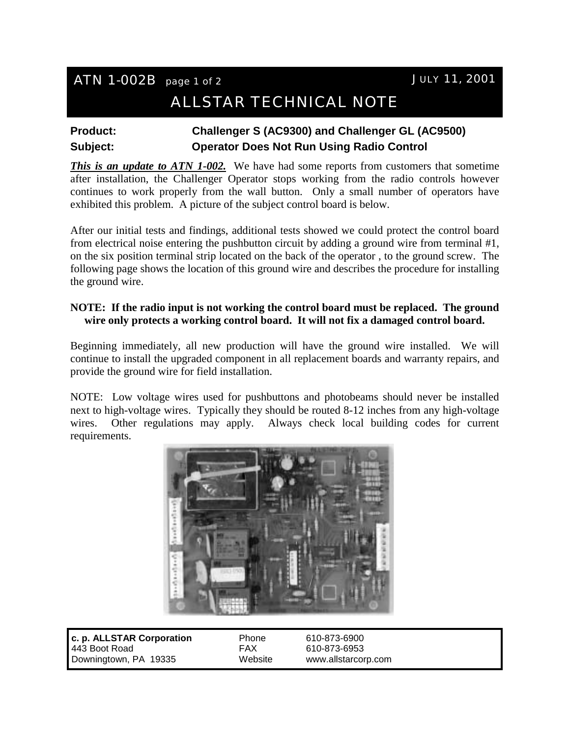# ATN 1-002B page 1 of 2 JULY 11, 2001

# ALLSTAR TECHNICAL NOTE

### **Product: Challenger S (AC9300) and Challenger GL (AC9500) Subject: Operator Does Not Run Using Radio Control**

*This is an update to ATN 1-002.* We have had some reports from customers that sometime after installation, the Challenger Operator stops working from the radio controls however continues to work properly from the wall button. Only a small number of operators have exhibited this problem. A picture of the subject control board is below.

After our initial tests and findings, additional tests showed we could protect the control board from electrical noise entering the pushbutton circuit by adding a ground wire from terminal #1, on the six position terminal strip located on the back of the operator , to the ground screw. The following page shows the location of this ground wire and describes the procedure for installing the ground wire.

#### **NOTE: If the radio input is not working the control board must be replaced. The ground wire only protects a working control board. It will not fix a damaged control board.**

Beginning immediately, all new production will have the ground wire installed. We will continue to install the upgraded component in all replacement boards and warranty repairs, and provide the ground wire for field installation.

NOTE: Low voltage wires used for pushbuttons and photobeams should never be installed next to high-voltage wires. Typically they should be routed 8-12 inches from any high-voltage wires. Other regulations may apply. Always check local building codes for current requirements.



**c. p. ALLSTAR Corporation** Phone 610-873-6900 443 Boot Road FAX 610-873-6953 Downingtown, PA 19335 Website www.allstarcorp.com